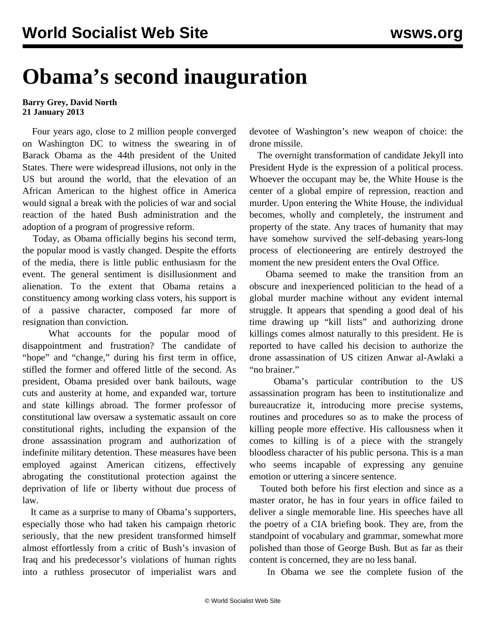## **Obama's second inauguration**

## **Barry Grey, David North 21 January 2013**

 Four years ago, close to 2 million people converged on Washington DC to witness the swearing in of Barack Obama as the 44th president of the United States. There were widespread illusions, not only in the US but around the world, that the elevation of an African American to the highest office in America would signal a break with the policies of war and social reaction of the hated Bush administration and the adoption of a program of progressive reform.

 Today, as Obama officially begins his second term, the popular mood is vastly changed. Despite the efforts of the media, there is little public enthusiasm for the event. The general sentiment is disillusionment and alienation. To the extent that Obama retains a constituency among working class voters, his support is of a passive character, composed far more of resignation than conviction.

What accounts for the popular mood of disappointment and frustration? The candidate of "hope" and "change," during his first term in office, stifled the former and offered little of the second. As president, Obama presided over bank bailouts, wage cuts and austerity at home, and expanded war, torture and state killings abroad. The former professor of constitutional law oversaw a systematic assault on core constitutional rights, including the expansion of the drone assassination program and authorization of indefinite military detention. These measures have been employed against American citizens, effectively abrogating the constitutional protection against the deprivation of life or liberty without due process of law.

 It came as a surprise to many of Obama's supporters, especially those who had taken his campaign rhetoric seriously, that the new president transformed himself almost effortlessly from a critic of Bush's invasion of Iraq and his predecessor's violations of human rights into a ruthless prosecutor of imperialist wars and devotee of Washington's new weapon of choice: the drone missile.

 The overnight transformation of candidate Jekyll into President Hyde is the expression of a political process. Whoever the occupant may be, the White House is the center of a global empire of repression, reaction and murder. Upon entering the White House, the individual becomes, wholly and completely, the instrument and property of the state. Any traces of humanity that may have somehow survived the self-debasing years-long process of electioneering are entirely destroyed the moment the new president enters the Oval Office.

 Obama seemed to make the transition from an obscure and inexperienced politician to the head of a global murder machine without any evident internal struggle. It appears that spending a good deal of his time drawing up "kill lists" and authorizing drone killings comes almost naturally to this president. He is reported to have called his decision to authorize the drone assassination of US citizen Anwar al-Awlaki a "no brainer."

 Obama's particular contribution to the US assassination program has been to institutionalize and bureaucratize it, introducing more precise systems, routines and procedures so as to make the process of killing people more effective. His callousness when it comes to killing is of a piece with the strangely bloodless character of his public persona. This is a man who seems incapable of expressing any genuine emotion or uttering a sincere sentence.

 Touted both before his first election and since as a master orator, he has in four years in office failed to deliver a single memorable line. His speeches have all the poetry of a CIA briefing book. They are, from the standpoint of vocabulary and grammar, somewhat more polished than those of George Bush. But as far as their content is concerned, they are no less banal.

In Obama we see the complete fusion of the